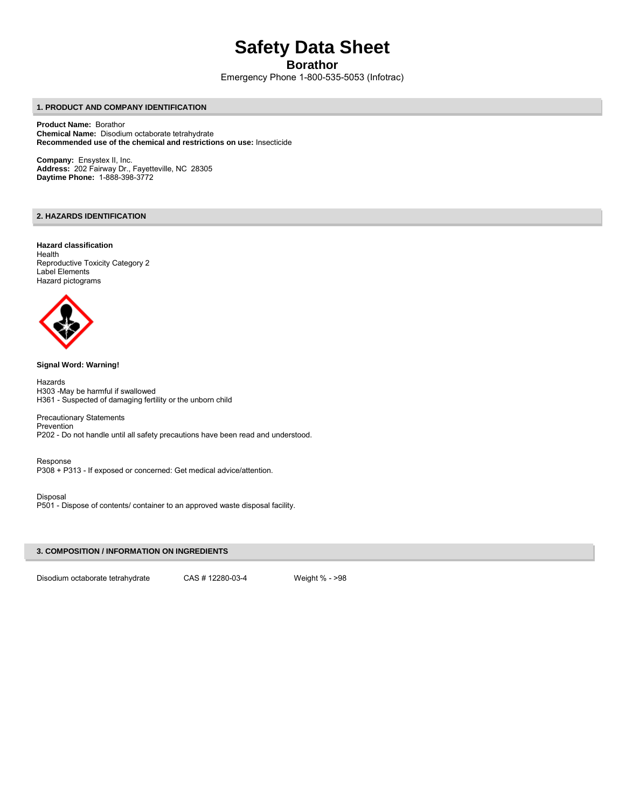# **Safety Data Sheet**

# **Borathor**

Emergency Phone 1-800-535-5053 (Infotrac)

# **1. PRODUCT AND COMPANY IDENTIFICATION**

**Product Name:** Borathor **Chemical Name:** Disodium octaborate tetrahydrate **Recommended use of the chemical and restrictions on use:** Insecticide

**Company:** Ensystex II, Inc. **Address:** 202 Fairway Dr., Fayetteville, NC 28305 **Daytime Phone:** 1-888-398-3772

# **2. HAZARDS IDENTIFICATION**

## **Hazard classification**  Health Reproductive Toxicity Category 2 Label Elements Hazard pictograms



# **Signal Word: Warning!**

Hazards H303 -May be harmful if swallowed H361 - Suspected of damaging fertility or the unborn child

Precautionary Statements Prevention P202 - Do not handle until all safety precautions have been read and understood.

Response P308 + P313 - If exposed or concerned: Get medical advice/attention.

# Disposal

P501 - Dispose of contents/ container to an approved waste disposal facility.

# **3. COMPOSITION / INFORMATION ON INGREDIENTS**

Disodium octaborate tetrahydrate CAS # 12280-03-4 Weight % - >98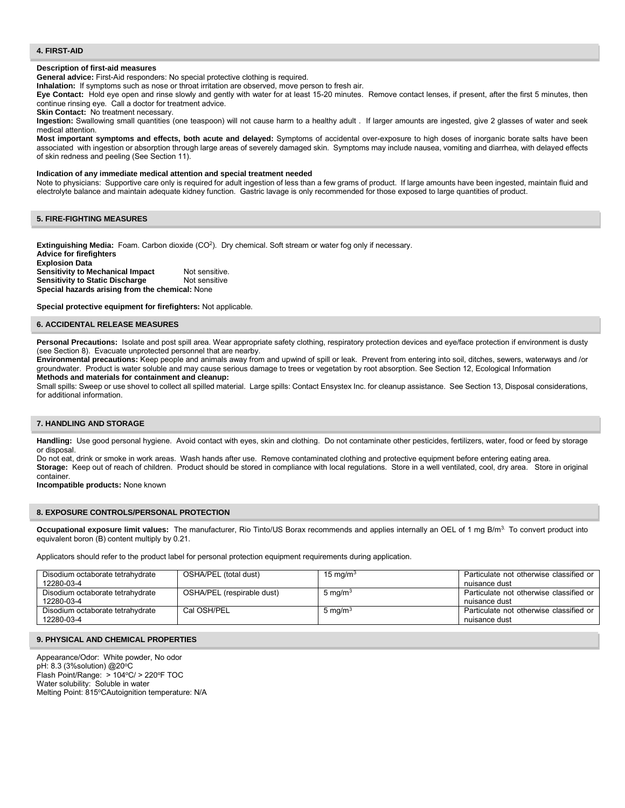#### **4. FIRST-AID**

#### **Description of first-aid measures**

**General advice:** First-Aid responders: No special protective clothing is required.

**Inhalation:** If symptoms such as nose or throat irritation are observed, move person to fresh air.

**Eye Contact:** Hold eye open and rinse slowly and gently with water for at least 15-20 minutes. Remove contact lenses, if present, after the first 5 minutes, then continue rinsing eye. Call a doctor for treatment advice.

**Skin Contact:** No treatment necessary.

**Ingestion:** Swallowing small quantities (one teaspoon) will not cause harm to a healthy adult . If larger amounts are ingested, give 2 glasses of water and seek medical attention.

**Most important symptoms and effects, both acute and delayed:** Symptoms of accidental over-exposure to high doses of inorganic borate salts have been associated with ingestion or absorption through large areas of severely damaged skin. Symptoms may include nausea, vomiting and diarrhea, with delayed effects of skin redness and peeling (See Section 11).

#### **Indication of any immediate medical attention and special treatment needed**

Note to physicians: Supportive care only is required for adult ingestion of less than a few grams of product. If large amounts have been ingested, maintain fluid and electrolyte balance and maintain adequate kidney function. Gastric lavage is only recommended for those exposed to large quantities of product.

# **5. FIRE-FIGHTING MEASURES**

**Extinguishing Media:** Foam. Carbon dioxide (CO<sup>2</sup>). Dry chemical. Soft stream or water fog only if necessary. **Advice for firefighters Explosion Data Sensitivity to Mechanical Impact** Not sensitive.<br>**Sensitivity to Static Discharge** Not sensitive **Sensitivity to Static Discharge Special hazards arising from the chemical:** None

**Special protective equipment for firefighters:** Not applicable.

#### **6. ACCIDENTAL RELEASE MEASURES**

Personal Precautions: Isolate and post spill area. Wear appropriate safety clothing, respiratory protection devices and eye/face protection if environment is dusty (see Section 8). Evacuate unprotected personnel that are nearby.

**Environmental precautions:** Keep people and animals away from and upwind of spill or leak. Prevent from entering into soil, ditches, sewers, waterways and /or groundwater. Product is water soluble and may cause serious damage to trees or vegetation by root absorption. See Section 12, Ecological Information **Methods and materials for containment and cleanup:** 

Small spills: Sweep or use shovel to collect all spilled material. Large spills: Contact Ensystex Inc. for cleanup assistance. See Section 13, Disposal considerations, for additional information.

# **7. HANDLING AND STORAGE**

**Handling:** Use good personal hygiene. Avoid contact with eyes, skin and clothing. Do not contaminate other pesticides, fertilizers, water, food or feed by storage or disposal.

Do not eat, drink or smoke in work areas. Wash hands after use. Remove contaminated clothing and protective equipment before entering eating area. **Storage:** Keep out of reach of children. Product should be stored in compliance with local regulations. Store in a well ventilated, cool, dry area. Store in original container.

**Incompatible products:** None known

#### **8. EXPOSURE CONTROLS/PERSONAL PROTECTION**

**Occupational exposure limit values:** The manufacturer, Rio Tinto/US Borax recommends and applies internally an OEL of 1 mg B/m3. To convert product into equivalent boron (B) content multiply by 0.21.

Applicators should refer to the product label for personal protection equipment requirements during application.

| Disodium octaborate tetrahydrate<br>12280-03-4 | OSHA/PEL (total dust)      | 15 mg/m $3$        | Particulate not otherwise classified or<br>nuisance dust |
|------------------------------------------------|----------------------------|--------------------|----------------------------------------------------------|
| Disodium octaborate tetrahydrate<br>12280-03-4 | OSHA/PEL (respirable dust) | $5 \text{ mg/m}^3$ | Particulate not otherwise classified or<br>nuisance dust |
| Disodium octaborate tetrahydrate<br>12280-03-4 | Cal OSH/PEL                | 5 mg/m $3$         | Particulate not otherwise classified or<br>nuisance dust |

## **9. PHYSICAL AND CHEMICAL PROPERTIES**

Appearance/Odor: White powder, No odor pH: 8.3 (3%solution) @20°C Flash Point/Range: > 104°C/ > 220°F TOC Water solubility: Soluble in water Melting Point: 815°CAutoignition temperature: N/A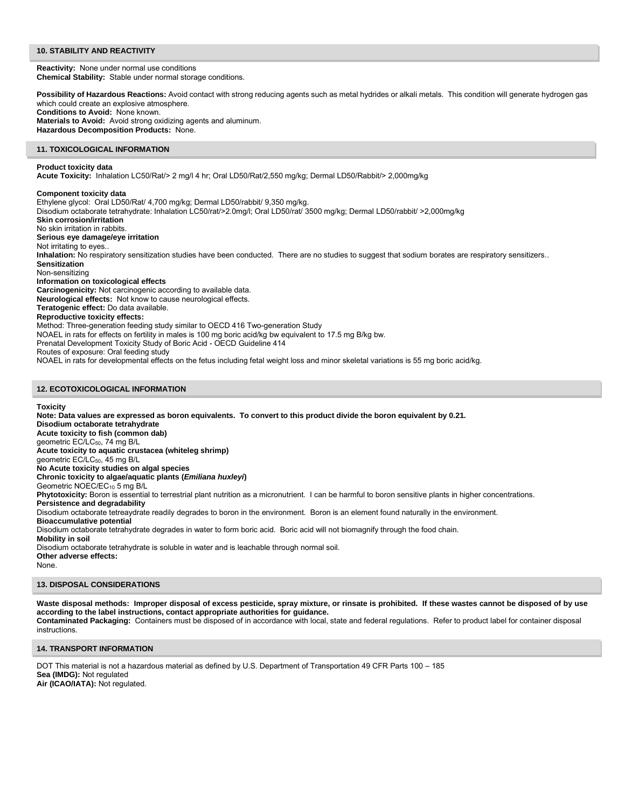## **10. STABILITY AND REACTIVITY**

**Reactivity:** None under normal use conditions **Chemical Stability:** Stable under normal storage conditions.

Possibility of Hazardous Reactions: Avoid contact with strong reducing agents such as metal hydrides or alkali metals. This condition will generate hydrogen gas which could create an explosive atmosphere. **Conditions to Avoid:** None known.

**Materials to Avoid:** Avoid strong oxidizing agents and aluminum. **Hazardous Decomposition Products:** None.

## **11. TOXICOLOGICAL INFORMATION**

## **Product toxicity data**

**Acute Toxicity:** Inhalation LC50/Rat/> 2 mg/l 4 hr; Oral LD50/Rat/2,550 mg/kg; Dermal LD50/Rabbit/> 2,000mg/kg

**Component toxicity data** 

Ethylene glycol:Oral LD50/Rat/ 4,700 mg/kg; Dermal LD50/rabbit/ 9,350 mg/kg. Disodium octaborate tetrahydrate: Inhalation LC50/rat/>2.0mg/l; Oral LD50/rat/ 3500 mg/kg; Dermal LD50/rabbit/ >2,000mg/kg **Skin corrosion/irritation**  No skin irritation in rabbits. **Serious eye damage/eye irritation**  Not irritating to eyes.. **Inhalation:** No respiratory sensitization studies have been conducted. There are no studies to suggest that sodium borates are respiratory sensitizers.. **Sensitization**  Non-sensitizing **Information on toxicological effects Carcinogenicity:** Not carcinogenic according to available data. **Neurological effects:** Not know to cause neurological effects. **Teratogenic effect:** Do data available. **Reproductive toxicity effects:**  Method: Three-generation feeding study similar to OECD 416 Two-generation Study NOAEL in rats for effects on fertility in males is 100 mg boric acid/kg bw equivalent to 17.5 mg B/kg bw. Prenatal Development Toxicity Study of Boric Acid - OECD Guideline 414 Routes of exposure: Oral feeding study NOAEL in rats for developmental effects on the fetus including fetal weight loss and minor skeletal variations is 55 mg boric acid/kg.

#### **12. ECOTOXICOLOGICAL INFORMATION**

#### **Toxicity**

**Note: Data values are expressed as boron equivalents. To convert to this product divide the boron equivalent by 0.21. Disodium octaborate tetrahydrate Acute toxicity to fish (common dab)**  geometric EC/LC<sub>50</sub>, 74 mg B/L **Acute toxicity to aquatic crustacea (whiteleg shrimp)**  geometric EC/LC<sub>50</sub>, 45 mg B/L **No Acute toxicity studies on algal species Chronic toxicity to algae/aquatic plants (***Emiliana huxleyi***)**  Geometric NOEC/EC<sub>10</sub> 5 mg B/L **Phytotoxicity:** Boron is essential to terrestrial plant nutrition as a micronutrient. I can be harmful to boron sensitive plants in higher concentrations. **Persistence and degradability**  Disodium octaborate tetreaydrate readily degrades to boron in the environment. Boron is an element found naturally in the environment. **Bioaccumulative potential**  Disodium octaborate tetrahydrate degrades in water to form boric acid. Boric acid will not biomagnify through the food chain. **Mobility in soil**  Disodium octaborate tetrahydrate is soluble in water and is leachable through normal soil. **Other adverse effects:**  None.

# **13. DISPOSAL CONSIDERATIONS**

**Waste disposal methods: Improper disposal of excess pesticide, spray mixture, or rinsate is prohibited. If these wastes cannot be disposed of by use according to the label instructions, contact appropriate authorities for guidance. Contaminated Packaging:** Containers must be disposed of in accordance with local, state and federal regulations. Refer to product label for container disposal instructions.

#### **14. TRANSPORT INFORMATION**

DOT This material is not a hazardous material as defined by U.S. Department of Transportation 49 CFR Parts 100 – 185 **Sea (IMDG):** Not regulated **Air (ICAO/IATA):** Not regulated.